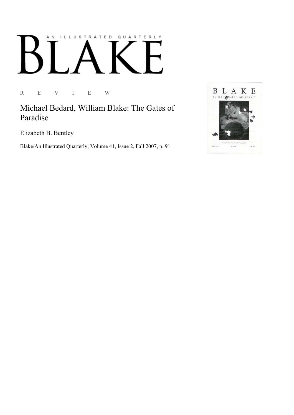## AN ILLUSTRATED QUARTERLY

R E V I E W

Michael Bedard, William Blake: The Gates of Paradise

Elizabeth B. Bentley

Blake/An Illustrated Quarterly, Volume 41, Issue 2, Fall 2007, p. 91